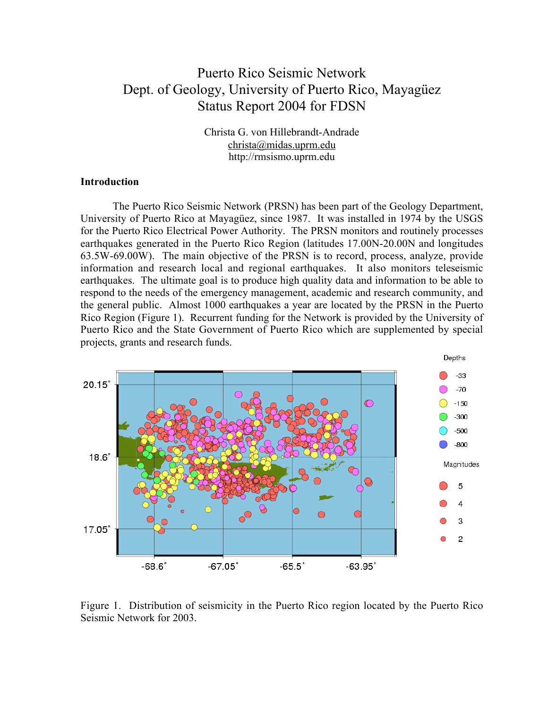# Puerto Rico Seismic Network Dept. of Geology, University of Puerto Rico, Mayagüez Status Report 2004 for FDSN

Christa G. von Hillebrandt-Andrade christa@midas.uprm.edu http://rmsismo.uprm.edu

#### **Introduction**

The Puerto Rico Seismic Network (PRSN) has been part of the Geology Department, University of Puerto Rico at Mayagüez, since 1987. It was installed in 1974 by the USGS for the Puerto Rico Electrical Power Authority. The PRSN monitors and routinely processes earthquakes generated in the Puerto Rico Region (latitudes 17.00N-20.00N and longitudes 63.5W-69.00W). The main objective of the PRSN is to record, process, analyze, provide information and research local and regional earthquakes. It also monitors teleseismic earthquakes. The ultimate goal is to produce high quality data and information to be able to respond to the needs of the emergency management, academic and research community, and the general public. Almost 1000 earthquakes a year are located by the PRSN in the Puerto Rico Region (Figure 1). Recurrent funding for the Network is provided by the University of Puerto Rico and the State Government of Puerto Rico which are supplemented by special projects, grants and research funds.



Figure 1. Distribution of seismicity in the Puerto Rico region located by the Puerto Rico Seismic Network for 2003.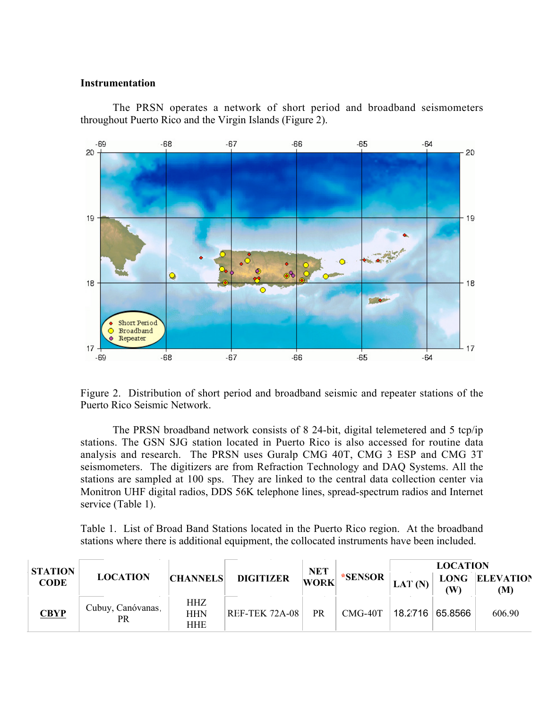#### **Instrumentation**

The PRSN operates a network of short period and broadband seismometers throughout Puerto Rico and the Virgin Islands (Figure 2).



Figure 2. Distribution of short period and broadband seismic and repeater stations of the Puerto Rico Seismic Network.

The PRSN broadband network consists of 8 24-bit, digital telemetered and 5 tcp/ip stations. The GSN SJG station located in Puerto Rico is also accessed for routine data analysis and research. The PRSN uses Guralp CMG 40T, CMG 3 ESP and CMG 3T seismometers. The digitizers are from Refraction Technology and DAQ Systems. All the stations are sampled at 100 sps. They are linked to the central data collection center via Monitron UHF digital radios, DDS 56K telephone lines, spread-spectrum radios and Internet service (Table 1).

Table 1. List of Broad Band Stations located in the Puerto Rico region. At the broadband stations where there is additional equipment, the collocated instruments have been included.

| <b>STATION</b><br><b>CODE</b> | <b>LOCATION</b>         | <b>CHANNELS</b>                 | <b>DIGITIZER</b>      | <b>NET</b><br>WORK | *SENSOR   | <b>LOCATION</b> |           |                       |
|-------------------------------|-------------------------|---------------------------------|-----------------------|--------------------|-----------|-----------------|-----------|-----------------------|
|                               |                         |                                 |                       |                    |           | LAT $(N)$       | $($ W $)$ | LONG ELEVATION<br>(M) |
| <b>CBYP</b>                   | Cubuy, Canóvanas,<br>PR | <b>HHZ</b><br><b>HHN</b><br>HHE | <b>REF-TEK 72A-08</b> | <b>PR</b>          | $CMG-40T$ | 18.2716 65.8566 |           | 606.90                |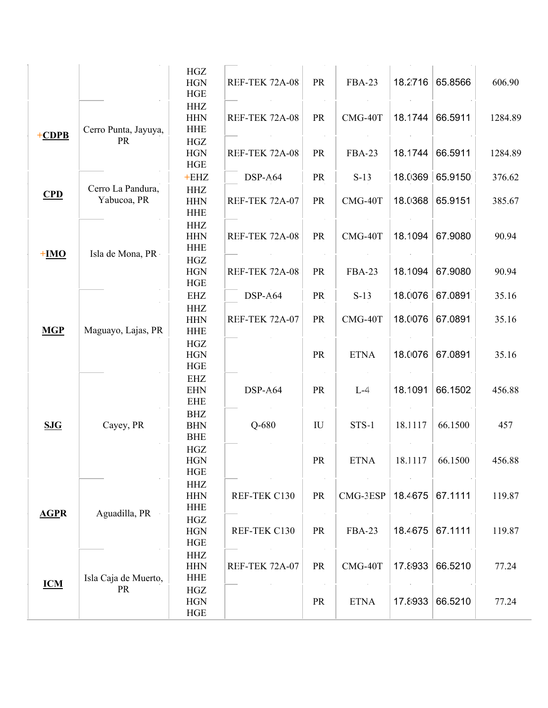|             |                                  | HGZ        |                       |                         |               |         |         |         |
|-------------|----------------------------------|------------|-----------------------|-------------------------|---------------|---------|---------|---------|
|             |                                  | <b>HGN</b> | <b>REF-TEK 72A-08</b> | PR                      | <b>FBA-23</b> | 18.2716 | 65.8566 | 606.90  |
|             |                                  | <b>HGE</b> |                       |                         |               |         |         |         |
|             |                                  | <b>HHZ</b> |                       |                         |               |         |         |         |
|             |                                  | <b>HHN</b> | <b>REF-TEK 72A-08</b> | PR                      | CMG-40T       | 18.1744 | 66.5911 | 1284.89 |
|             | Cerro Punta, Jayuya,             | <b>HHE</b> |                       | $\sim$                  |               |         |         |         |
| $+CDPB$     | <b>PR</b>                        | HGZ        |                       |                         |               |         |         |         |
|             |                                  | <b>HGN</b> | <b>REF-TEK 72A-08</b> | PR                      | <b>FBA-23</b> | 18.1744 | 66.5911 | 1284.89 |
|             |                                  | HGE        |                       |                         |               |         |         |         |
|             | Cerro La Pandura,<br>Yabucoa, PR | $+EHZ$     | DSP-A64               | PR                      | $S-13$        | 18.0369 | 65.9150 | 376.62  |
|             |                                  | <b>HHZ</b> |                       |                         |               |         |         |         |
| CPD         |                                  | <b>HHN</b> | <b>REF-TEK 72A-07</b> | PR                      | CMG-40T       | 18.0368 | 65.9151 | 385.67  |
|             |                                  | <b>HHE</b> |                       |                         |               |         |         |         |
|             |                                  | HHZ        |                       |                         |               |         |         |         |
|             |                                  | <b>HHN</b> | <b>REF-TEK 72A-08</b> | PR                      | CMG-40T       | 18.1094 | 67.9080 | 90.94   |
|             | Isla de Mona, PR                 | <b>HHE</b> |                       |                         |               |         |         |         |
| $+IMO$      |                                  | HGZ        |                       |                         |               |         |         |         |
|             |                                  | <b>HGN</b> | <b>REF-TEK 72A-08</b> | PR                      | <b>FBA-23</b> | 18.1094 | 67.9080 | 90.94   |
|             |                                  | HGE        |                       |                         |               |         |         |         |
|             |                                  | <b>EHZ</b> | DSP-A64               | PR                      | $S-13$        | 18.0076 | 67.0891 | 35.16   |
|             |                                  | <b>HHZ</b> |                       |                         |               |         |         |         |
|             | Maguayo, Lajas, PR               | <b>HHN</b> | <b>REF-TEK 72A-07</b> | PR                      | CMG-40T       | 18.0076 | 67.0891 | 35.16   |
| <b>MGP</b>  |                                  | <b>HHE</b> |                       |                         |               |         |         |         |
|             |                                  | HGZ        |                       |                         |               |         |         |         |
|             |                                  | <b>HGN</b> |                       | PR                      | <b>ETNA</b>   | 18.0076 | 67.0891 | 35.16   |
|             |                                  | HGE        |                       |                         |               |         |         |         |
|             |                                  | EHZ        |                       |                         |               |         |         |         |
|             | Cayey, PR                        | <b>EHN</b> | DSP-A.64              | <b>PR</b>               | $L-4$         | 18.1091 | 66.1502 | 456.88  |
|             |                                  | <b>EHE</b> |                       |                         |               |         |         |         |
|             |                                  | <b>BHZ</b> |                       |                         |               |         |         |         |
| SJG         |                                  | <b>BHN</b> | $Q-680$               | $\mathbf{I} \mathbf{U}$ | <b>STS-1</b>  | 18.1117 | 66.1500 | 457     |
|             |                                  | <b>BHE</b> |                       |                         |               |         |         |         |
|             |                                  | <b>HGZ</b> |                       |                         |               |         |         |         |
|             |                                  | <b>HGN</b> |                       | <b>PR</b>               | <b>ETNA</b>   | 18.1117 | 66.1500 | 456.88  |
|             |                                  | <b>HGE</b> |                       |                         |               |         |         |         |
|             | Aguadilla, PR                    | <b>HHZ</b> |                       |                         |               |         |         |         |
|             |                                  | <b>HHN</b> | REF-TEK C130          | PR                      | CMG-3ESP      | 18.4675 | 67.1111 | 119.87  |
| <b>AGPR</b> |                                  | <b>HHE</b> |                       |                         |               |         |         |         |
|             |                                  | <b>HGZ</b> |                       |                         |               |         |         |         |
|             |                                  | <b>HGN</b> | REF-TEK C130          | PR                      | <b>FBA-23</b> | 18.4675 | 67.1111 | 119.87  |
|             |                                  | HGE        |                       | $\sim$                  |               |         |         |         |
|             | Isla Caja de Muerto,<br>PR       | <b>HHZ</b> |                       |                         |               |         |         |         |
|             |                                  | <b>HHN</b> | <b>REF-TEK 72A-07</b> | PR                      | CMG-40T       | 17.8933 | 66.5210 | 77.24   |
| <b>ICM</b>  |                                  | <b>HHE</b> |                       |                         |               |         |         |         |
|             |                                  | HGZ        |                       |                         |               |         |         |         |
|             |                                  | <b>HGN</b> |                       | PR                      | <b>ETNA</b>   | 17.8933 | 66.5210 | 77.24   |
|             |                                  | HGE        |                       |                         |               |         |         |         |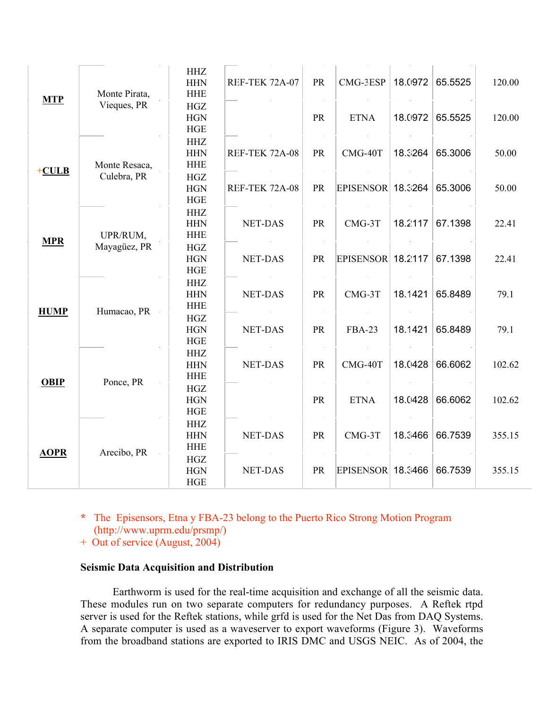| <b>MTP</b>  | Monte Pirata,<br>Vieques, PR | <b>HHZ</b><br><b>HHN</b><br><b>HHE</b> | <b>REF-TEK 72A-07</b> | PR        | CMG-3ESP                 | 18.0972 | 65.5525 | 120.00 |
|-------------|------------------------------|----------------------------------------|-----------------------|-----------|--------------------------|---------|---------|--------|
|             |                              | <b>HGZ</b><br><b>HGN</b><br>HGE        |                       | PR        | <b>ETNA</b>              | 18.0972 | 65.5525 | 120.00 |
| $+CULB$     | Monte Resaca,<br>Culebra, PR | <b>HHZ</b><br><b>HHN</b><br><b>HHE</b> | <b>REF-TEK 72A-08</b> | PR        | CMG-40T                  | 18.3264 | 65.3006 | 50.00  |
|             |                              | HGZ<br><b>HGN</b><br><b>HGE</b>        | <b>REF-TEK 72A-08</b> | PR        | <b>EPISENSOR 18.3264</b> |         | 65.3006 | 50.00  |
| <b>MPR</b>  | UPR/RUM,<br>Mayagüez, PR     | <b>HHZ</b><br><b>HHN</b><br><b>HHE</b> | <b>NET-DAS</b>        | PR        | CMG-3T                   | 18.2117 | 67.1398 | 22.41  |
|             |                              | <b>HGZ</b><br><b>HGN</b><br>HGE        | <b>NET-DAS</b>        | <b>PR</b> | <b>EPISENSOR</b> 18.2117 |         | 67.1398 | 22.41  |
| <b>HUMP</b> | Humacao, PR                  | <b>HHZ</b><br><b>HHN</b><br><b>HHE</b> | <b>NET-DAS</b>        | PR        | $CMG-3T$                 | 18.1421 | 65.8489 | 79.1   |
|             |                              | <b>HGZ</b><br><b>HGN</b><br>HGE        | <b>NET-DAS</b>        | PR        | <b>FBA-23</b>            | 18.1421 | 65.8489 | 79.1   |
| <b>OBIP</b> | Ponce, PR                    | <b>HHZ</b><br><b>HHN</b><br><b>HHE</b> | <b>NET-DAS</b>        | PR        | CMG-40T                  | 18.0428 | 66.6062 | 102.62 |
|             |                              | <b>HGZ</b><br><b>HGN</b><br>HGE        |                       | PR        | <b>ETNA</b>              | 18.0428 | 66.6062 | 102.62 |
| <b>AOPR</b> | Arecibo, PR                  | <b>HHZ</b><br><b>HHN</b><br><b>HHE</b> | <b>NET-DAS</b>        | PR        | CMG-3T                   | 18.3466 | 66.7539 | 355.15 |
|             |                              | $_{\mathrm{HGZ}}$<br><b>HGN</b><br>HGE | <b>NET-DAS</b>        | PR        | <b>EPISENSOR</b> 18.3466 |         | 66.7539 | 355.15 |

**\*** The Episensors, Etna y FBA-23 belong to the Puerto Rico Strong Motion Program

- (http://www.uprm.edu/prsmp/)
- + Out of service (August, 2004)

## **Seismic Data Acquisition and Distribution**

Earthworm is used for the real-time acquisition and exchange of all the seismic data. These modules run on two separate computers for redundancy purposes. A Reftek rtpd server is used for the Reftek stations, while grfd is used for the Net Das from DAQ Systems. A separate computer is used as a waveserver to export waveforms (Figure 3). Waveforms from the broadband stations are exported to IRIS DMC and USGS NEIC. As of 2004, the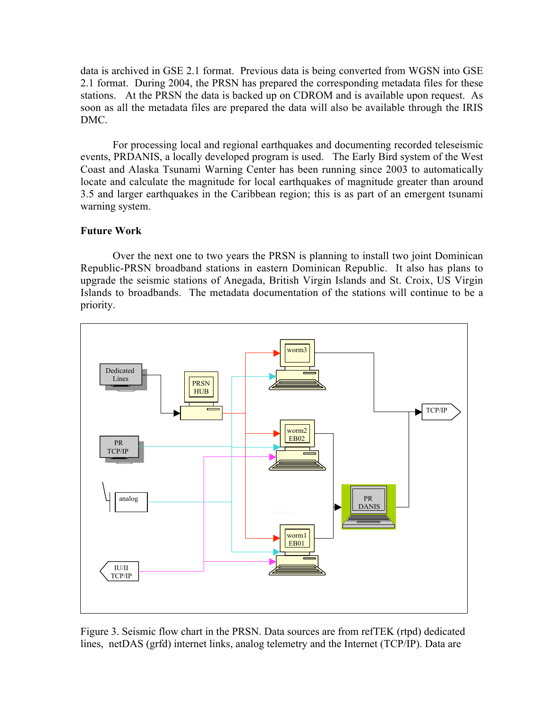data is archived in GSE 2.1 format. Previous data is being converted from WGSN into GSE 2.1 format. During 2004, the PRSN has prepared the corresponding metadata files for these stations. At the PRSN the data is backed up on CDROM and is available upon request. As soon as all the metadata files are prepared the data will also be available through the IRIS DMC.

For processing local and regional earthquakes and documenting recorded teleseismic events, PRDANIS, a locally developed program is used. The Early Bird system of the West Coast and Alaska Tsunami Warning Center has been running since 2003 to automatically locate and calculate the magnitude for local earthquakes of magnitude greater than around 3.5 and larger earthquakes in the Caribbean region; this is as part of an emergent tsunami warning system.

### **Future Work**

Over the next one to two years the PRSN is planning to install two joint Dominican Republic-PRSN broadband stations in eastern Dominican Republic. It also has plans to upgrade the seismic stations of Anegada, British Virgin Islands and St. Croix, US Virgin Islands to broadbands. The metadata documentation of the stations will continue to be a priority.



Figure 3. Seismic flow chart in the PRSN. Data sources are from refTEK (rtpd) dedicated lines, netDAS (grfd) internet links, analog telemetry and the Internet (TCP/IP). Data are